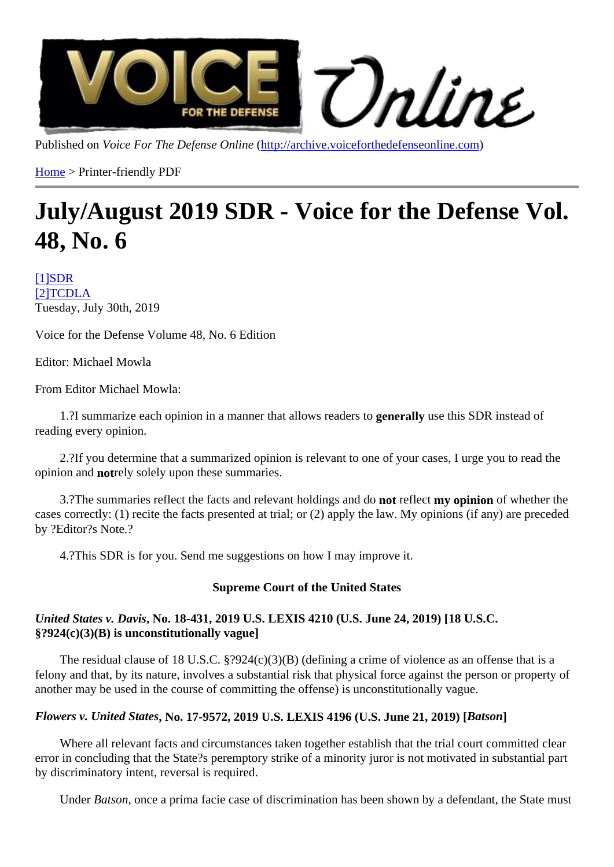Published on Voice For The Defense Onlinettp://archive.voiceforthedefenseonline.com

Home > Printer-friendly PDF

# [Jul](http://archive.voiceforthedefenseonline.com/)y/August 2019 S[DR - Voice for the De](http://archive.voiceforthedefenseonline.com)fense Vol. 48, No. 6

[1]SDR [2]TCDLA Tuesday, July 30th, 2019

[Voic](http://archive.voiceforthedefenseonline.com/channel/2/stories)[e fo](http://archive.voiceforthedefenseonline.com/source/tcdla)r the Defense Volume 48, No. 6 Edition

Editor: Michael Mowla

From Editor Michael Mowla:

1.?I summarize each opinion in a manner that allows readers to guive this SDR instead of reading every opinion.

 2.?If you determine that a summarized opinion is relevant to one of your cases, I urge you to read the opinion and notrely solely upon these summaries.

3.? The summaries reflect the facts and relevant holdings and redisct my opinion of whether the cases correctly: (1) recite the facts presented at trial; or (2) apply the law. My opinions (if any) are preceded by ?Editor?s Note.?

4.?This SDR is for you. Send me suggestions on how I may improve it.

Supreme Court of the United States

United States v. Davis No. 18-431, 2019 U.S. LEXIS 4210 (U.S. June 24, 2019) [18 U.S.C. §?924(c)(3)(B) is unconstitutionally vague]

 The residual clause of 18 U.S.C. §?924(c)(3)(B) (defining a crime of violence as an offense that is a felony and that, by its nature, involves a substantial risk that physical force against the person or property of another may be used in the course of committing the offense) is unconstitutionally vague.

Flowers v. United StatesNo. 17-9572, 2019 U.S. LEXIS 4196U.S. June 21, 2019) Eatson

 Where all relevant facts and circumstances taken together establish that the trial court committed clear error in concluding that the State?s peremptory strike of a minority juror is not motivated in substantial part by discriminatory intent, reversal is required.

Under Batson, once a prima facie case of discrimination has been shown by a defendant, the State must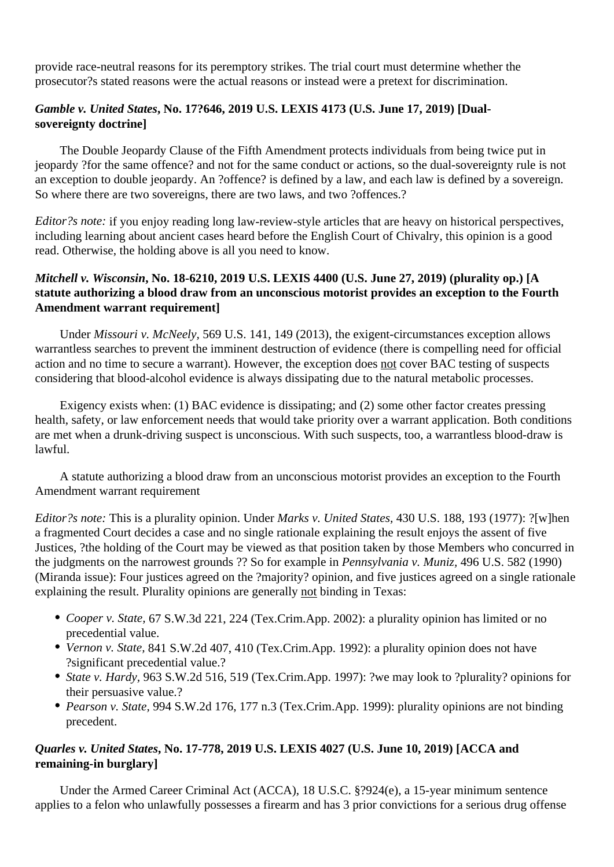provide race-neutral reasons for its peremptory strikes. The trial court must determine whether the prosecutor?s stated reasons were the actual reasons or instead were a pretext for discrimination.

### *Gamble v. United States***, No. 17?646, 2019 U.S. LEXIS 4173 (U.S. June 17, 2019) [Dualsovereignty doctrine]**

 The Double Jeopardy Clause of the Fifth Amendment protects individuals from being twice put in jeopardy ?for the same offence? and not for the same conduct or actions, so the dual-sovereignty rule is not an exception to double jeopardy. An ?offence? is defined by a law, and each law is defined by a sovereign. So where there are two sovereigns, there are two laws, and two ?offences.?

*Editor?s note:* if you enjoy reading long law-review-style articles that are heavy on historical perspectives, including learning about ancient cases heard before the English Court of Chivalry, this opinion is a good read. Otherwise, the holding above is all you need to know.

#### *Mitchell v. Wisconsin***, No. 18-6210, 2019 U.S. LEXIS 4400 (U.S. June 27, 2019) (plurality op.) [A statute authorizing a blood draw from an unconscious motorist provides an exception to the Fourth Amendment warrant requirement]**

 Under *Missouri v. McNeely,* 569 U.S. 141, 149 (2013), the exigent-circumstances exception allows warrantless searches to prevent the imminent destruction of evidence (there is compelling need for official action and no time to secure a warrant). However, the exception does not cover BAC testing of suspects considering that blood-alcohol evidence is always dissipating due to the natural metabolic processes.

 Exigency exists when: (1) BAC evidence is dissipating; and (2) some other factor creates pressing health, safety, or law enforcement needs that would take priority over a warrant application. Both conditions are met when a drunk-driving suspect is unconscious. With such suspects, too, a warrantless blood-draw is lawful.

 A statute authorizing a blood draw from an unconscious motorist provides an exception to the Fourth Amendment warrant requirement

*Editor?s note:* This is a plurality opinion. Under *Marks v. United States,* 430 U.S. 188, 193 (1977): ?[w]hen a fragmented Court decides a case and no single rationale explaining the result enjoys the assent of five Justices, ?the holding of the Court may be viewed as that position taken by those Members who concurred in the judgments on the narrowest grounds ?? So for example in *Pennsylvania v. Muniz,* 496 U.S. 582 (1990) (Miranda issue): Four justices agreed on the ?majority? opinion, and five justices agreed on a single rationale explaining the result. Plurality opinions are generally not binding in Texas:

- *Cooper v. State,* 67 S.W.3d 221, 224 (Tex.Crim.App. 2002): a plurality opinion has limited or no precedential value.
- *Vernon v. State,* 841 S.W.2d 407, 410 (Tex.Crim.App. 1992): a plurality opinion does not have ?significant precedential value.?
- *State v. Hardy,* 963 S.W.2d 516, 519 (Tex.Crim.App. 1997): ?we may look to ?plurality? opinions for their persuasive value.?
- *Pearson v. State,* 994 S.W.2d 176, 177 n.3 (Tex.Crim.App. 1999): plurality opinions are not binding precedent.

## *Quarles v. United States***, No. 17-778, 2019 U.S. LEXIS 4027 (U.S. June 10, 2019) [ACCA and remaining-in burglary]**

 Under the Armed Career Criminal Act (ACCA), 18 U.S.C. §?924(e), a 15-year minimum sentence applies to a felon who unlawfully possesses a firearm and has 3 prior convictions for a serious drug offense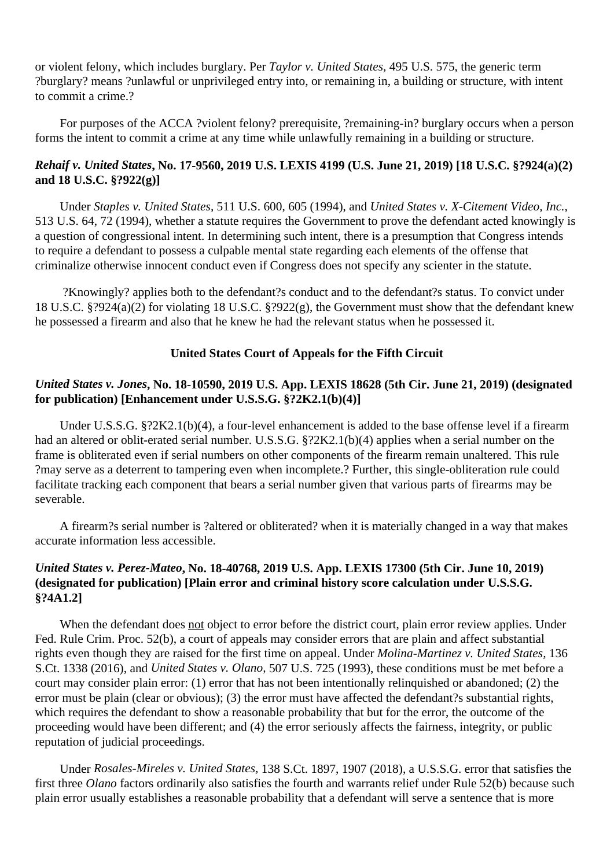or violent felony, which includes burglary. Per *Taylor v. United States,* 495 U.S. 575, the generic term ?burglary? means ?unlawful or unprivileged entry into, or remaining in, a building or structure, with intent to commit a crime.?

 For purposes of the ACCA ?violent felony? prerequisite, ?remaining-in? burglary occurs when a person forms the intent to commit a crime at any time while unlawfully remaining in a building or structure.

### *Rehaif v. United States***, No. 17-9560, 2019 U.S. LEXIS 4199 (U.S. June 21, 2019) [18 U.S.C. §?924(a)(2) and 18 U.S.C. §?922(g)]**

 Under *Staples v. United States,* 511 U.S. 600, 605 (1994), and *United States v. X-Citement Video, Inc.,* 513 U.S. 64, 72 (1994), whether a statute requires the Government to prove the defendant acted knowingly is a question of congressional intent. In determining such intent, there is a presumption that Congress intends to require a defendant to possess a culpable mental state regarding each elements of the offense that criminalize otherwise innocent conduct even if Congress does not specify any scienter in the statute.

 ?Knowingly? applies both to the defendant?s conduct and to the defendant?s status. To convict under 18 U.S.C. §?924(a)(2) for violating 18 U.S.C. §?922(g), the Government must show that the defendant knew he possessed a firearm and also that he knew he had the relevant status when he possessed it.

#### **United States Court of Appeals for the Fifth Circuit**

#### *United States v. Jones***, No. 18-10590, 2019 U.S. App. LEXIS 18628 (5th Cir. June 21, 2019) (designated for publication) [Enhancement under U.S.S.G. §?2K2.1(b)(4)]**

Under U.S.S.G. §?2K2.1(b)(4), a four-level enhancement is added to the base offense level if a firearm had an altered or oblit-erated serial number. U.S.S.G. §?2K2.1(b)(4) applies when a serial number on the frame is obliterated even if serial numbers on other components of the firearm remain unaltered. This rule ?may serve as a deterrent to tampering even when incomplete.? Further, this single-obliteration rule could facilitate tracking each component that bears a serial number given that various parts of firearms may be severable.

 A firearm?s serial number is ?altered or obliterated? when it is materially changed in a way that makes accurate information less accessible.

#### *United States v. Perez-Mateo***, No. 18-40768, 2019 U.S. App. LEXIS 17300 (5th Cir. June 10, 2019) (designated for publication) [Plain error and criminal history score calculation under U.S.S.G. §?4A1.2]**

 When the defendant does not object to error before the district court, plain error review applies. Under Fed. Rule Crim. Proc. 52(b), a court of appeals may consider errors that are plain and affect substantial rights even though they are raised for the first time on appeal. Under *Molina-Martinez v. United States,* 136 S.Ct. 1338 (2016), and *United States v. Olano,* 507 U.S. 725 (1993), these conditions must be met before a court may consider plain error: (1) error that has not been intentionally relinquished or abandoned; (2) the error must be plain (clear or obvious); (3) the error must have affected the defendant?s substantial rights, which requires the defendant to show a reasonable probability that but for the error, the outcome of the proceeding would have been different; and (4) the error seriously affects the fairness, integrity, or public reputation of judicial proceedings.

 Under *Rosales-Mireles v. United States,* 138 S.Ct. 1897, 1907 (2018), a U.S.S.G. error that satisfies the first three *Olano* factors ordinarily also satisfies the fourth and warrants relief under Rule 52(b) because such plain error usually establishes a reasonable probability that a defendant will serve a sentence that is more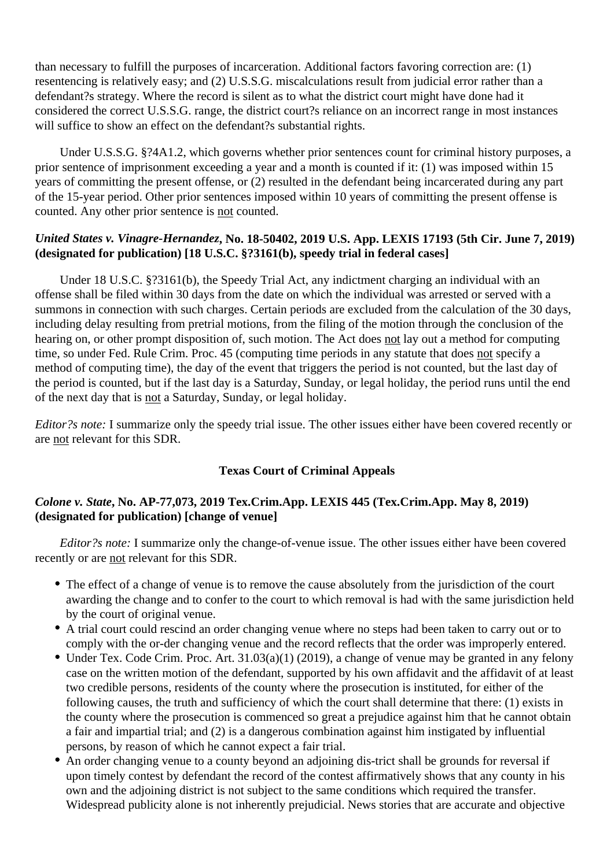than necessary to fulfill the purposes of incarceration. Additional factors favoring correction are: (1) resentencing is relatively easy; and (2) U.S.S.G. miscalculations result from judicial error rather than a defendant?s strategy. Where the record is silent as to what the district court might have done had it considered the correct U.S.S.G. range, the district court?s reliance on an incorrect range in most instances will suffice to show an effect on the defendant?s substantial rights.

 Under U.S.S.G. §?4A1.2, which governs whether prior sentences count for criminal history purposes, a prior sentence of imprisonment exceeding a year and a month is counted if it: (1) was imposed within 15 years of committing the present offense, or (2) resulted in the defendant being incarcerated during any part of the 15-year period. Other prior sentences imposed within 10 years of committing the present offense is counted. Any other prior sentence is not counted.

#### *United States v. Vinagre-Hernandez***, No. 18-50402, 2019 U.S. App. LEXIS 17193 (5th Cir. June 7, 2019) (designated for publication) [18 U.S.C. §?3161(b), speedy trial in federal cases]**

 Under 18 U.S.C. §?3161(b), the Speedy Trial Act, any indictment charging an individual with an offense shall be filed within 30 days from the date on which the individual was arrested or served with a summons in connection with such charges. Certain periods are excluded from the calculation of the 30 days, including delay resulting from pretrial motions, from the filing of the motion through the conclusion of the hearing on, or other prompt disposition of, such motion. The Act does not lay out a method for computing time, so under Fed. Rule Crim. Proc. 45 (computing time periods in any statute that does not specify a method of computing time), the day of the event that triggers the period is not counted, but the last day of the period is counted, but if the last day is a Saturday, Sunday, or legal holiday, the period runs until the end of the next day that is not a Saturday, Sunday, or legal holiday.

*Editor?s note:* I summarize only the speedy trial issue. The other issues either have been covered recently or are not relevant for this SDR.

#### **Texas Court of Criminal Appeals**

### *Colone v. State***, No. AP-77,073, 2019 Tex.Crim.App. LEXIS 445 (Tex.Crim.App. May 8, 2019) (designated for publication) [change of venue]**

 *Editor?s note:* I summarize only the change-of-venue issue. The other issues either have been covered recently or are not relevant for this SDR.

- The effect of a change of venue is to remove the cause absolutely from the jurisdiction of the court awarding the change and to confer to the court to which removal is had with the same jurisdiction held by the court of original venue.
- A trial court could rescind an order changing venue where no steps had been taken to carry out or to comply with the or-der changing venue and the record reflects that the order was improperly entered.
- Under Tex. Code Crim. Proc. Art. 31.03(a)(1) (2019), a change of venue may be granted in any felony case on the written motion of the defendant, supported by his own affidavit and the affidavit of at least two credible persons, residents of the county where the prosecution is instituted, for either of the following causes, the truth and sufficiency of which the court shall determine that there: (1) exists in the county where the prosecution is commenced so great a prejudice against him that he cannot obtain a fair and impartial trial; and (2) is a dangerous combination against him instigated by influential persons, by reason of which he cannot expect a fair trial.
- An order changing venue to a county beyond an adjoining dis-trict shall be grounds for reversal if upon timely contest by defendant the record of the contest affirmatively shows that any county in his own and the adjoining district is not subject to the same conditions which required the transfer. Widespread publicity alone is not inherently prejudicial. News stories that are accurate and objective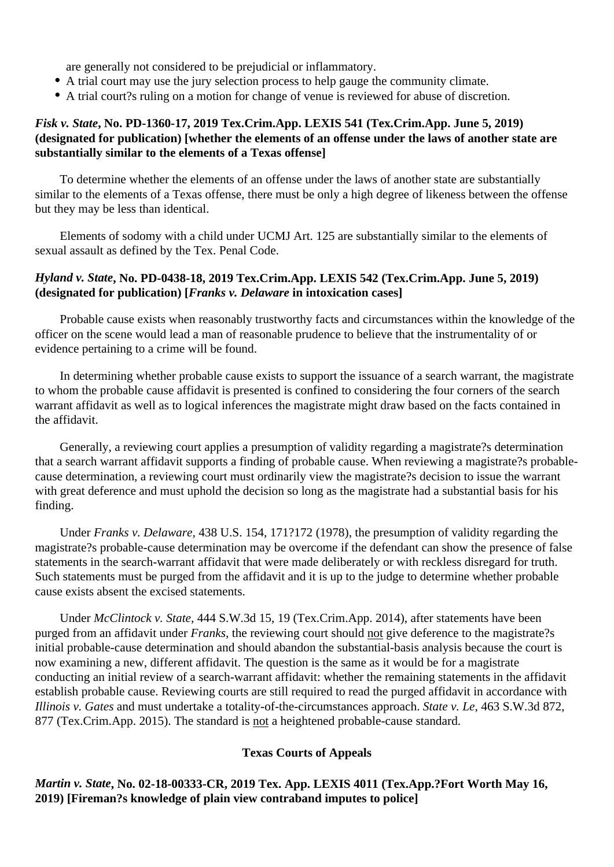are generally not considered to be prejudicial or inflammatory.

- A trial court may use the jury selection process to help gauge the community climate.
- A trial court?s ruling on a motion for change of venue is reviewed for abuse of discretion.

#### *Fisk v. State***, No. PD-1360-17, 2019 Tex.Crim.App. LEXIS 541 (Tex.Crim.App. June 5, 2019) (designated for publication) [whether the elements of an offense under the laws of another state are substantially similar to the elements of a Texas offense]**

 To determine whether the elements of an offense under the laws of another state are substantially similar to the elements of a Texas offense, there must be only a high degree of likeness between the offense but they may be less than identical.

 Elements of sodomy with a child under UCMJ Art. 125 are substantially similar to the elements of sexual assault as defined by the Tex. Penal Code.

#### *Hyland v. State***, No. PD-0438-18, 2019 Tex.Crim.App. LEXIS 542 (Tex.Crim.App. June 5, 2019) (designated for publication) [***Franks v. Delaware* **in intoxication cases]**

 Probable cause exists when reasonably trustworthy facts and circumstances within the knowledge of the officer on the scene would lead a man of reasonable prudence to believe that the instrumentality of or evidence pertaining to a crime will be found.

 In determining whether probable cause exists to support the issuance of a search warrant, the magistrate to whom the probable cause affidavit is presented is confined to considering the four corners of the search warrant affidavit as well as to logical inferences the magistrate might draw based on the facts contained in the affidavit.

 Generally, a reviewing court applies a presumption of validity regarding a magistrate?s determination that a search warrant affidavit supports a finding of probable cause. When reviewing a magistrate?s probablecause determination, a reviewing court must ordinarily view the magistrate?s decision to issue the warrant with great deference and must uphold the decision so long as the magistrate had a substantial basis for his finding.

 Under *Franks v. Delaware,* 438 U.S. 154, 171?172 (1978), the presumption of validity regarding the magistrate?s probable-cause determination may be overcome if the defendant can show the presence of false statements in the search-warrant affidavit that were made deliberately or with reckless disregard for truth. Such statements must be purged from the affidavit and it is up to the judge to determine whether probable cause exists absent the excised statements.

 Under *McClintock v. State,* 444 S.W.3d 15, 19 (Tex.Crim.App. 2014), after statements have been purged from an affidavit under *Franks,* the reviewing court should not give deference to the magistrate?s initial probable-cause determination and should abandon the substantial-basis analysis because the court is now examining a new, different affidavit. The question is the same as it would be for a magistrate conducting an initial review of a search-warrant affidavit: whether the remaining statements in the affidavit establish probable cause. Reviewing courts are still required to read the purged affidavit in accordance with *Illinois v. Gates* and must undertake a totality-of-the-circumstances approach. *State v. Le,* 463 S.W.3d 872, 877 (Tex.Crim.App. 2015). The standard is not a heightened probable-cause standard.

#### **Texas Courts of Appeals**

*Martin v. State***, No. 02-18-00333-CR, 2019 Tex. App. LEXIS 4011 (Tex.App.?Fort Worth May 16, 2019) [Fireman?s knowledge of plain view contraband imputes to police]**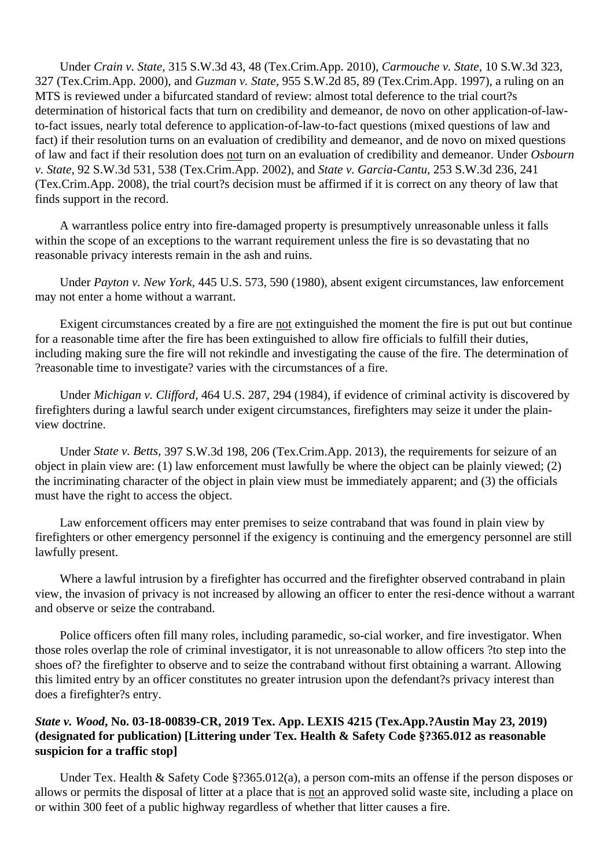Under *Crain v. State,* 315 S.W.3d 43, 48 (Tex.Crim.App. 2010), *Carmouche v. State,* 10 S.W.3d 323, 327 (Tex.Crim.App. 2000), and *Guzman v. State,* 955 S.W.2d 85, 89 (Tex.Crim.App. 1997), a ruling on an MTS is reviewed under a bifurcated standard of review: almost total deference to the trial court?s determination of historical facts that turn on credibility and demeanor, de novo on other application-of-lawto-fact issues, nearly total deference to application-of-law-to-fact questions (mixed questions of law and fact) if their resolution turns on an evaluation of credibility and demeanor, and de novo on mixed questions of law and fact if their resolution does not turn on an evaluation of credibility and demeanor. Under *Osbourn v. State,* 92 S.W.3d 531, 538 (Tex.Crim.App. 2002), and *State v. Garcia-Cantu,* 253 S.W.3d 236, 241 (Tex.Crim.App. 2008), the trial court?s decision must be affirmed if it is correct on any theory of law that finds support in the record.

 A warrantless police entry into fire-damaged property is presumptively unreasonable unless it falls within the scope of an exceptions to the warrant requirement unless the fire is so devastating that no reasonable privacy interests remain in the ash and ruins.

 Under *Payton v. New York,* 445 U.S. 573, 590 (1980), absent exigent circumstances, law enforcement may not enter a home without a warrant.

 Exigent circumstances created by a fire are not extinguished the moment the fire is put out but continue for a reasonable time after the fire has been extinguished to allow fire officials to fulfill their duties, including making sure the fire will not rekindle and investigating the cause of the fire. The determination of ?reasonable time to investigate? varies with the circumstances of a fire.

 Under *Michigan v. Clifford,* 464 U.S. 287, 294 (1984), if evidence of criminal activity is discovered by firefighters during a lawful search under exigent circumstances, firefighters may seize it under the plainview doctrine.

 Under *State v. Betts,* 397 S.W.3d 198, 206 (Tex.Crim.App. 2013), the requirements for seizure of an object in plain view are: (1) law enforcement must lawfully be where the object can be plainly viewed; (2) the incriminating character of the object in plain view must be immediately apparent; and (3) the officials must have the right to access the object.

 Law enforcement officers may enter premises to seize contraband that was found in plain view by firefighters or other emergency personnel if the exigency is continuing and the emergency personnel are still lawfully present.

 Where a lawful intrusion by a firefighter has occurred and the firefighter observed contraband in plain view, the invasion of privacy is not increased by allowing an officer to enter the resi-dence without a warrant and observe or seize the contraband.

 Police officers often fill many roles, including paramedic, so-cial worker, and fire investigator. When those roles overlap the role of criminal investigator, it is not unreasonable to allow officers ?to step into the shoes of? the firefighter to observe and to seize the contraband without first obtaining a warrant. Allowing this limited entry by an officer constitutes no greater intrusion upon the defendant?s privacy interest than does a firefighter?s entry.

#### *State v. Wood***, No. 03-18-00839-CR, 2019 Tex. App. LEXIS 4215 (Tex.App.?Austin May 23, 2019) (designated for publication) [Littering under Tex. Health & Safety Code §?365.012 as reasonable suspicion for a traffic stop]**

 Under Tex. Health & Safety Code §?365.012(a), a person com-mits an offense if the person disposes or allows or permits the disposal of litter at a place that is not an approved solid waste site, including a place on or within 300 feet of a public highway regardless of whether that litter causes a fire.